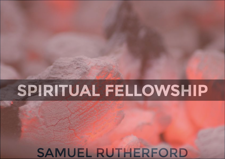# **SPIRITUAL FELLOWSHIP**

# SAMUEL RUTHERFORD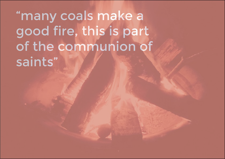"many coals make a good fire, this is part of the communion of saints"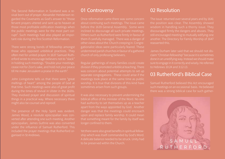The Second Reformation in Scotland was a regarded the Covenants as God's answer to "those fervent prayers uttered and sent up to heaven at those most profitable edification meetings when rupt". Such meetings had also played an important role during the first Scottish Reformation.

those who opposed unbiblical practices. They erford wrote to encourage believers not to "slack" till He make Jerusalem a praise in the earth".

meltings of heart" among the people of God at

episcopalian, James Guthrie was also converted under the influence of Samuel Rutherford. This

#### 01 Controversy

Once reformation came there was some concern before the 1639 General Assembly. Some were inclined to discourage all such private meetings. Others such as Rutherford were firmly in favour of them if carefully managed. There was a danger of other views about the Church creeping in. Congrechurch of only professing believers.

Regular gatherings of many families could create division if they promoted unbiblical teaching. There was concern about potential attempts to set up separate congregations. These could arise if the sometimes arisen from such groups.

biblical office of the minister of the Word. No one apart from the ways appointed by God. Another longer confined to them.

Yet there were also great benefits in spiritual fellowto be preserved within the Church.

### 02 Resolution

The issue returned over several years and by 1641 the position was clear. The Assembly showed discouraged firmly the dangers and abuses. They still encouraged meeting to mutually edifying one another. The Directory for Family Worship of 1647 reasserted this.

James Durham later said that we should not disclaim "Christian fellowship" because it is sometimes sure to engage in it correctly and wisely. He referred to Hebrews 10:24 and 3:12-13.

### 03 Rutherford's Biblical Case

Samuel Rutherford believed this Act encouraged such meetings on an occasional basis. He believed there was a strong biblical case for such gather-

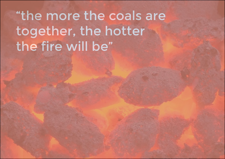# "the more the coals are together, the hotter the fire will be"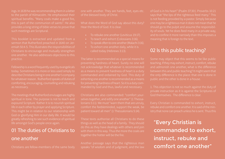spiritual benefits. "Many coals make a good fire, this is part of the communion of saints". He also provides a long string of bible verses to prove that

This booklet is extracted and updated from a Christians to encourage and mutually strengthen one another. He also addresses objections to this

Fellowship is a word frequently used by evangelicals today. Sometimes it is more or less used simply to for whatever reason. Rutherford speaks of duties of comforting, encouraging, counselling and rebuking

The meetings that Rutherford envisages are highly life in each other by prayer and applying Scripture. This might be in relation to our relationship with life amongst God's people once again.

## 01 The duties of Christians to one another

of the blessed body of Christ.

What does the Word of God say about this duty? Hear the Word of God. It is clear.

- To rebuke one another (Leviticus 19:17).
- To teach and exhort (Colossians 3:16).
- • To speak often to one another (Malachi 3:16).
- 

The latter is recommended as a special means for not acknowledge that whatever is recommended as a means to prevent hardness of heart is a duty commanded and ordained by God. This duty of

Christians are also commanded: "comfort yourselves together, and edify one another" (1 Thessacomfort the feebleminded, support the weak, be

These texts authorise all Christians to do these things as well as the head of a family. They should together the hotter will be the fire.

Another passage says that the righteous man speaks "of wisdom and of judgment, and the law

of God is in his heart" (Psalm 37:30:). Proverbs 10:21 says that "the lips of the righteous feed many." This is not feeding provided by a pastor. Simply because should go to the pulpit and assume the responsibiland to confine it more narrowly than this imposes a

### 02 Is this public teaching?

Some may object that this seems to be like public and admonish one another, what is the difference between this and public teaching? It might seem that

1. This objection is not so much against the duty of private instruction as it is against the Scriptures of God themselves. The difference is clear.

rebuke and comfort one another. It is said of the ministry that none can preach unless he is sent. Thus this

"Every Christian is commanded to exhort, instruct, rebuke and comfort one another"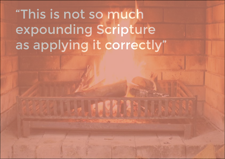# "This is not so much expounding Scripture as applying it correctly"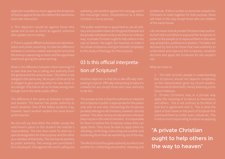objection is levelled as much against the Scriptures of God as against those who defend the lawfulness of private instruction.

2. This objection would be against those who speak one to one as much as against someone who speaks one to twenty.

between a common soldier warning the army that the enemy is advancing on them and the appointed

is clear that one has a calling and authority from obliged in the same way. Yet as part of the army he is obliged to give warning when he sees them in any danger. If he fails to do so he does wrong even

The difference is the same as between a teacher teach students. One of the fellow students may, however, teach another student the same lesson as the teacher.

No one will say that either the soldier usurps the watchman's place or the student the teacher's special designation for that purpose and the other he is disobeyed. One against the Lord's calling and

authority, and another against His message which Christian is not as serious.

The public watchman is appointed to use all ordinary and possible means for the good of people but the private individual is only to do this in an ordinary his whole endeavour and give himself completely to the study of theology for that purpose.

# 03 Is this official interpretation of Scripture?

Another objection is that this is like officially interunlawful for any except those who have authority to do this.

the Scriptures in public is appropriate for the pastor they may be in the role of ministers. It is impossible for them to believe the Scriptures unless they can apply them. They must be able to apply them for rebuking, comforting, instructing one another and

another etc. If this is so then it cannot be unlawful for Christians to meet together for that purpose. None will meet in this way except those who are children of the same house.

I do not mean that all private Christians have authority from the Lord either to expound the Scriptures in public to the people or to expound them in the same doctrine and apply the Scriptures for the people's use.

#### What we mean is:

1. The faith of God's people in understanding This would be blind faith, merely believing as the Church believes.

apply the meaning of Scripture to themselves God but in agreement with it. This is what the command them to confer, warn, rebuke etc. This is not so much expounding Scripture as applying

"A private Christian ought to help others in the way to heaven"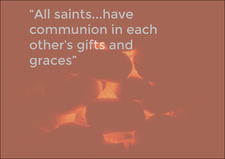"All saints...have communion in each other's gifts and graces"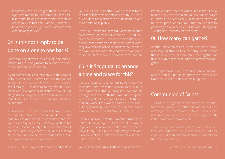age them to take to themselves the responsibilities that belong to pastors and teachers or others called to that holy function (Hebrews 5:). Private Christians ought not to interfere with

## 04 Is this not simply to be done on a one to one basis?

Some may object that such rebuking, comforting,

If you compare this assumption with the original both in Greek and Hebrew it is clear this cannot obliges to love only one person and no more? Does neighbour?

law of God requires more. Similarly Galatians 6:2 of God requires us to do this towards all men in so

of God does not restrict these duties within a one

In the Old Testament the word is also not defined so narrowly. For instance Genesis 42:21: "And they said one to another". The word means that every one of Joseph's brethren spoke to his brother. When to one or not rather every one of them to another?

# 05 Is it Scriptural to arrange a time and place for this?

If it was lawful for Job's friends to meet together to comfort him, it was not unlawful to arrange to meet together for that purpose. I believe that this passage says that both the time and the place were appointed beforehand (Job 2:11). Is the acduty appointed by God then setting a time and place beforehand cannot make it unlawful.

unlawful time and place. It is true that it is wrong make it holy. But in general appointing a time and but rather better.

is unlawful if he sets aside 6:00 am and a particular house for prayer at that time. The same applies to preaching on a week day. Is it unlawful to appoint

### 06 How many can gather?

Another objection relates to the number of those who may together to fulfil this duty. Some object that if two or three or more may meet together for

This objection is easily answered. Christians may together it is not private worship but public.

### Communion of Saints

in the inward and outward man.

their mutual edification.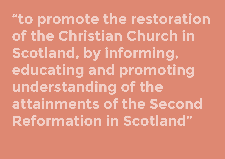**"to promote the restoration of the Christian Church in Scotland, by informing, educating and promoting understanding of the attainments of the Second Reformation in Scotland"**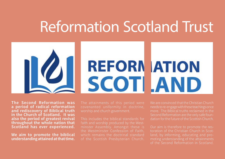# Reformation Scotland Trust



**The Second Reformation was a period of radical reformation and rediscovery of Biblical truth in the Church of Scotland. It was also the period of greatest revival throughout the whole nation that Scotland has ever experienced.**

**We aim to promote the biblical understanding attained at that time.** covenanted uniformity in doctrine, worship and church government.

This includes the biblical standards for faith and worship produced by the Westminster Assembly. Amongst these is the Westminster Confession of Faith, which remains the doctrinal standard

We are convinced that the Christian Church needs to re-engage with these teachings once more. The Biblical truths reclaimed in the Second Reformation are the only safe foundation for the future of the Scottish Church.

Our aim is therefore to promote the restoration of the Christian Church in Scotland, by informing, educating and promoting understanding of the attainments of the Second Reformation in Scotland.